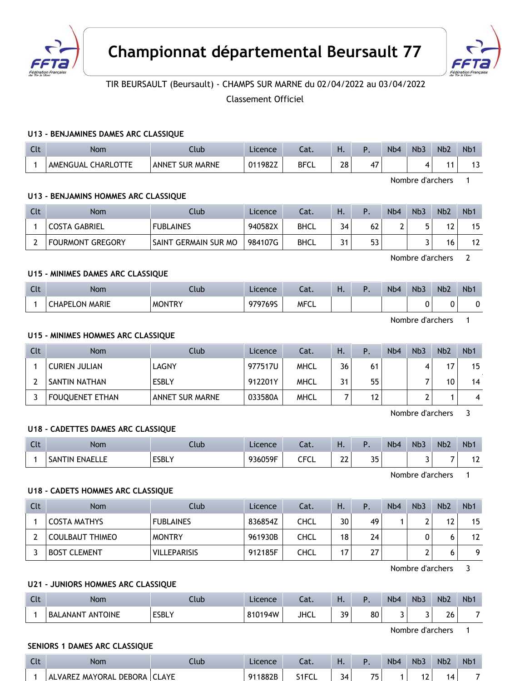



# TIR BEURSAULT (Beursault) - CHAMPS SUR MARNE du 02/04/2022 au 03/04/2022

Classement Officiel

#### **U13 - BENJAMINES DAMES ARC CLASSIQUE**

| $\sim$<br>นเ | Nom                          | Club                                | Licence | -1<br>cal.  | п. |    | Nb <sub>4</sub> | Nb <sub>3</sub> | Nb <sub>2</sub> | N <sub>b</sub>                  |
|--------------|------------------------------|-------------------------------------|---------|-------------|----|----|-----------------|-----------------|-----------------|---------------------------------|
|              | <b>CHARLOTTE</b><br>AMENGUAL | <b>MARNE</b><br><b>SUR</b><br>ANNET | 011982Z | <b>BFCL</b> | 28 | 4, |                 | 4               | ╺               | $\overline{\phantom{a}}$<br>. . |

Nombre d'archers 1

#### **U13 - BENJAMINS HOMMES ARC CLASSIQUE**

| Clt | Nom                  | .lub                 | Licence | Cat.        | Н. |                | N <sub>b</sub> 4 | N <sub>b</sub> 3 | N <sub>b</sub> 2 | N <sub>b</sub> 1 |
|-----|----------------------|----------------------|---------|-------------|----|----------------|------------------|------------------|------------------|------------------|
|     | <b>COSTA GABRIEL</b> | <b>FUBLAINES</b>     | 940582X | <b>BHCL</b> | 34 | 62             |                  |                  | 1 ገ              | 15               |
|     | FOURMONT GREGORY     | SAINT GERMAIN SUR MO | 984107G | <b>BHCL</b> | 21 | 53<br><u>.</u> |                  |                  |                  | 12               |

Nombre d'archers 2

## **U15 - MINIMES DAMES ARC CLASSIQUE**

| Clt | Nom                   | Club          | Licence | $-1$<br>cal. | . . | N <sub>b</sub> 4 | N <sub>b</sub> 3 | Nb <sub>2</sub> | N <sub>b</sub> 1 |
|-----|-----------------------|---------------|---------|--------------|-----|------------------|------------------|-----------------|------------------|
|     | <b>CHAPELON MARIE</b> | <b>MONTRY</b> | 979769S | <b>MFCL</b>  |     |                  |                  | n<br>. .        |                  |

Nombre d'archers 1

## **U15 - MINIMES HOMMES ARC CLASSIQUE**

| Clt | <b>Nom</b>             | Club :                 | Licence | Cat.        | Ή. | Ρ. | N <sub>b</sub> 4 | Nb <sub>3</sub> | Nb <sub>2</sub> | N <sub>b</sub> 1 |
|-----|------------------------|------------------------|---------|-------------|----|----|------------------|-----------------|-----------------|------------------|
|     | CURIEN JULIAN          | LAGNY                  | 977517U | <b>MHCL</b> | 36 | 61 |                  |                 | 17              | 15               |
|     | SANTIN NATHAN          | ESBLY                  | 912201Y | <b>MHCL</b> | 21 | 55 |                  |                 | 10              | 14               |
|     | <b>FOUQUENET ETHAN</b> | <b>ANNET SUR MARNE</b> | 033580A | <b>MHCL</b> |    |    |                  | ∽               |                 | 4                |

Nombre d'archers 3

## **U18 - CADETTES DAMES ARC CLASSIQUE**

| C14<br>Նււ | Nom                             | Jlub         | Licence | $\sim$<br>cal.  | $\mathbf{L}$<br>п. |           | N <sub>b</sub> 4 | Nb <sub>3</sub> | Nb <sub>2</sub> | N <sub>b</sub> 1 |
|------------|---------------------------------|--------------|---------|-----------------|--------------------|-----------|------------------|-----------------|-----------------|------------------|
|            | <b>ENAELLE</b><br>l IN.<br>5AN. | <b>ESBLY</b> | 936059F | ----<br>◡└<br>◡ | $\sim$<br>∸∸       | つに<br>ر ر |                  |                 |                 | "<br>1 L         |

Nombre d'archers 1

#### **U18 - CADETS HOMMES ARC CLASSIQUE**

| Clt | <b>Nom</b>             | Club                | Licence | Cat. | Η. | Þ  | Nb4 | Nb <sub>3</sub> | Nb <sub>2</sub> | N <sub>b</sub> 1 |
|-----|------------------------|---------------------|---------|------|----|----|-----|-----------------|-----------------|------------------|
|     | <b>COSTA MATHYS</b>    | <b>FUBLAINES</b>    | 836854Z | CHCL | 30 | 49 |     | ∽               | 12              | 15               |
|     | <b>COULBAUT THIMEO</b> | <b>MONTRY</b>       | 961930B | CHCL | 18 | 24 |     | 0               |                 | 12               |
|     | <b>BOST CLEMENT</b>    | <b>VILLEPARISIS</b> | 912185F | CHCL | 17 | 27 |     | ∽               |                 | O                |

Nombre d'archers 3

## **U21 - JUNIORS HOMMES ARC CLASSIQUE**

| Clt | Nom                               | Club         | Licence | $\sim$<br>cal. | . . |    | N <sub>b</sub> 4 | N <sub>b</sub> 3 | Nb <sub>2</sub> | N <sub>p</sub> |
|-----|-----------------------------------|--------------|---------|----------------|-----|----|------------------|------------------|-----------------|----------------|
|     | <b>ANTOINE</b><br><b>BALANANT</b> | <b>ESBLY</b> | 810194W | <b>JHCL</b>    | 39  | 80 |                  |                  | ົ່າ ກ<br>26.    | -              |

Nombre d'archers 1

#### **SENIORS 1 DAMES ARC CLASSIQUE**

| Clt | Nom                    | Club         | Licence | Jac. | .       |    | N <sub>b</sub> 4 | N <sub>b</sub> 3 | Nb <sub>2</sub> | N <sub>b</sub> |
|-----|------------------------|--------------|---------|------|---------|----|------------------|------------------|-----------------|----------------|
|     | ALVAREZ MAYORAL DEBORA | <b>CLAYE</b> | 911882B |      | 34<br>J | フロ |                  |                  | 14              |                |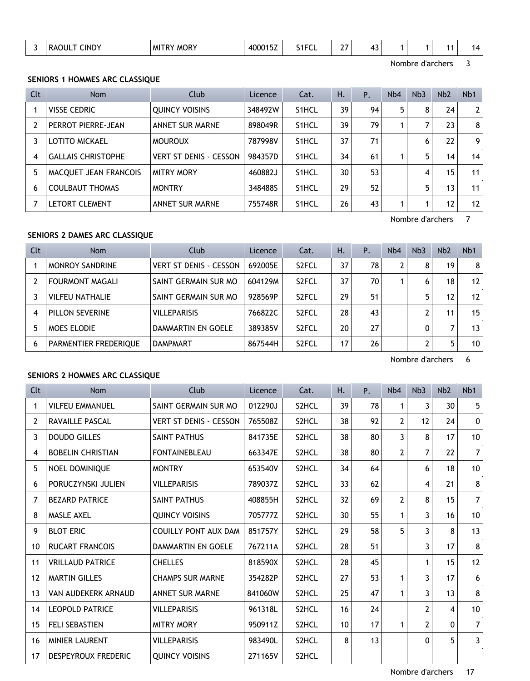| $\mathsf{L}$ IND <sup>V</sup><br>M<br>. <del>.</del><br>,<br>-<br>∼<br>-<br>. .<br>. .<br>. . |  |  | $\sim$ $\sim$ $\sim$ | . | $\cdot$ – – – $\cdot$ | $\sim$ $-$ | . . |  |  |  |  |
|-----------------------------------------------------------------------------------------------|--|--|----------------------|---|-----------------------|------------|-----|--|--|--|--|
|-----------------------------------------------------------------------------------------------|--|--|----------------------|---|-----------------------|------------|-----|--|--|--|--|

Nombre d'archers 3

# **SENIORS 1 HOMMES ARC CLASSIQUE**

| Clt | <b>Nom</b>                | Club                          | Licence | Cat.               | Н. | P. | Nb4 | Nb <sub>3</sub> | Nb <sub>2</sub> | N <sub>b</sub> 1 |
|-----|---------------------------|-------------------------------|---------|--------------------|----|----|-----|-----------------|-----------------|------------------|
|     | <b>VISSE CEDRIC</b>       | <b>OUINCY VOISINS</b>         | 348492W | S <sub>1</sub> HCL | 39 | 94 | 5   | 8               | 24              | $\overline{2}$   |
| 2   | PERROT PIERRE-JEAN        | <b>ANNET SUR MARNE</b>        | 898049R | S <sub>1</sub> HCL | 39 | 79 |     |                 | 23              | 8                |
| 3   | <b>LOTITO MICKAEL</b>     | <b>MOUROUX</b>                | 787998V | S <sub>1</sub> HCL | 37 | 71 |     | 6               | 22              | 9                |
| 4   | <b>GALLAIS CHRISTOPHE</b> | <b>VERT ST DENIS - CESSON</b> | 984357D | S <sub>1</sub> HCL | 34 | 61 |     | 5               | 14 <sub>1</sub> | 14               |
| 5   | MACQUET JEAN FRANCOIS     | <b>MITRY MORY</b>             | 460882J | S <sub>1</sub> HCL | 30 | 53 |     | 4               | 15              | 11               |
| 6   | <b>COULBAUT THOMAS</b>    | <b>MONTRY</b>                 | 348488S | S <sub>1</sub> HCL | 29 | 52 |     | 5               | 13              | 11               |
|     | <b>LETORT CLEMENT</b>     | <b>ANNET SUR MARNE</b>        | 755748R | S <sub>1</sub> HCL | 26 | 43 |     |                 | 12              | 12               |

Nombre d'archers 7

# **SENIORS 2 DAMES ARC CLASSIQUE**

| Clt | <b>Nom</b>             | Club                          | Licence | Cat.               | Η. | Ρ. | N <sub>b</sub> 4 | Nb <sub>3</sub> | N <sub>b</sub> 2 | N <sub>b</sub> 1 |
|-----|------------------------|-------------------------------|---------|--------------------|----|----|------------------|-----------------|------------------|------------------|
|     | <b>MONROY SANDRINE</b> | <b>VERT ST DENIS - CESSON</b> | 692005E | S <sub>2</sub> FCL | 37 | 78 | 2                | 8               | 19               | 8                |
|     | <b>FOURMONT MAGALI</b> | SAINT GERMAIN SUR MO          | 604129M | S <sub>2</sub> FCL | 37 | 70 |                  | 6               | 18               | 12               |
|     | <b>VILFEU NATHALIE</b> | SAINT GERMAIN SUR MO          | 928569P | S <sub>2</sub> FCL | 29 | 51 |                  | 5               | 12               | 12               |
| 4   | PILLON SEVERINE        | <b>VILLEPARISIS</b>           | 766822C | S <sub>2</sub> FCL | 28 | 43 |                  |                 | 11               | 15               |
| 5   | <b>MOES ELODIE</b>     | DAMMARTIN EN GOELE            | 389385V | S <sub>2</sub> FCL | 20 | 27 |                  |                 |                  | 13               |
| 6   | PARMENTIER FREDERIQUE  | <b>DAMPMART</b>               | 867544H | S <sub>2</sub> FCL | 17 | 26 |                  |                 | 5.               | 10               |

Nombre d'archers 6

# **SENIORS 2 HOMMES ARC CLASSIQUE**

| <b>Clt</b>     | <b>Nom</b>               | Club                          | Licence | Cat.  | Η. | Ρ. | N <sub>b</sub> 4 | Nb <sub>3</sub> | Nb <sub>2</sub> | N <sub>b</sub> 1 |
|----------------|--------------------------|-------------------------------|---------|-------|----|----|------------------|-----------------|-----------------|------------------|
| 1              | <b>VILFEU EMMANUEL</b>   | SAINT GERMAIN SUR MO          | 012290J | S2HCL | 39 | 78 | 1                | 3               | 30              | 5                |
| $\overline{2}$ | RAVAILLE PASCAL          | <b>VERT ST DENIS - CESSON</b> | 765508Z | S2HCL | 38 | 92 | $\overline{2}$   | 12              | 24              | $\mathbf{0}$     |
| 3              | <b>DOUDO GILLES</b>      | <b>SAINT PATHUS</b>           | 841735E | S2HCL | 38 | 80 | 3                | 8               | 17              | 10               |
| 4              | <b>BOBELIN CHRISTIAN</b> | <b>FONTAINEBLEAU</b>          | 663347E | S2HCL | 38 | 80 | $\mathbf{2}$     | $\overline{7}$  | 22              | $\overline{7}$   |
| 5              | NOEL DOMINIQUE           | <b>MONTRY</b>                 | 653540V | S2HCL | 34 | 64 |                  | 6               | 18              | 10               |
| 6              | PORUCZYNSKI JULIEN       | <b>VILLEPARISIS</b>           | 789037Z | S2HCL | 33 | 62 |                  | 4               | 21              | 8                |
| 7              | <b>BEZARD PATRICE</b>    | SAINT PATHUS                  | 408855H | S2HCL | 32 | 69 | $\overline{2}$   | 8               | 15              | $\overline{7}$   |
| 8              | <b>MASLE AXEL</b>        | <b>QUINCY VOISINS</b>         | 705777Z | S2HCL | 30 | 55 | 1                | 3               | 16              | 10               |
| 9              | <b>BLOT ERIC</b>         | <b>COUILLY PONT AUX DAM</b>   | 851757Y | S2HCL | 29 | 58 | 5                | 3               | 8               | 13               |
| 10             | <b>RUCART FRANCOIS</b>   | DAMMARTIN EN GOELE            | 767211A | S2HCL | 28 | 51 |                  | 3               | 17              | 8                |
| 11             | <b>VRILLAUD PATRICE</b>  | <b>CHELLES</b>                | 818590X | S2HCL | 28 | 45 |                  | 1               | 15              | 12               |
| 12             | <b>MARTIN GILLES</b>     | <b>CHAMPS SUR MARNE</b>       | 354282P | S2HCL | 27 | 53 | 1                | 3               | 17              | 6                |
| 13             | VAN AUDEKERK ARNAUD      | <b>ANNET SUR MARNE</b>        | 841060W | S2HCL | 25 | 47 | $\mathbf{1}$     | 3               | 13              | 8                |
| 14             | <b>LEOPOLD PATRICE</b>   | <b>VILLEPARISIS</b>           | 961318L | S2HCL | 16 | 24 |                  | $\mathbf{2}$    | 4               | 10               |
| 15             | <b>FELI SEBASTIEN</b>    | <b>MITRY MORY</b>             | 950911Z | S2HCL | 10 | 17 | $\mathbf{1}$     | $\overline{2}$  | 0               | $\overline{7}$   |
| 16             | <b>MINIER LAURENT</b>    | <b>VILLEPARISIS</b>           | 983490L | S2HCL | 8  | 13 |                  | $\mathbf{0}$    | 5               | 3                |
| 17             | DESPEYROUX FREDERIC      | <b>OUINCY VOISINS</b>         | 271165V | S2HCL |    |    |                  |                 |                 |                  |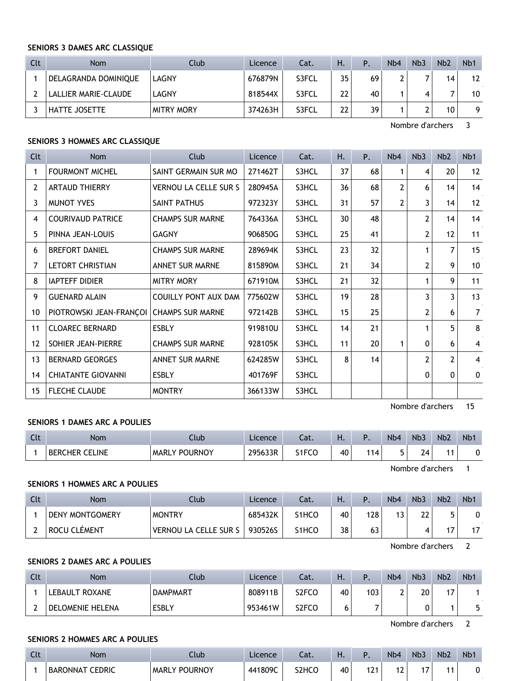#### **SENIORS 3 DAMES ARC CLASSIQUE**

| Clt | <b>Nom</b>           | Club              | Licence | Cat.  | H. | Ρ. | N <sub>b</sub> 4 | Nb <sub>3</sub> | Nb <sub>2</sub> | N <sub>b</sub> 1 |
|-----|----------------------|-------------------|---------|-------|----|----|------------------|-----------------|-----------------|------------------|
|     | DELAGRANDA DOMINIQUE | LAGNY             | 676879N | S3FCL | 35 | 69 |                  |                 | 14              | 12               |
|     | LALLIER MARIE-CLAUDE | LAGNY             | 818544X | S3FCL | 22 | 40 |                  |                 |                 | 10               |
|     | HATTE JOSETTE        | <b>MITRY MORY</b> | 374263H | S3FCL | 22 | 39 |                  |                 | 10              | q                |

Nombre d'archers 3

#### **SENIORS 3 HOMMES ARC CLASSIQUE**

| Clt          | <b>Nom</b>                | Club                         | Licence | Cat.  | Н. | Ρ. | Nb4 | Nb <sub>3</sub> | Nb <sub>2</sub> | Nb1            |
|--------------|---------------------------|------------------------------|---------|-------|----|----|-----|-----------------|-----------------|----------------|
| 1            | <b>FOURMONT MICHEL</b>    | SAINT GERMAIN SUR MO         | 271462T | S3HCL | 37 | 68 | 1   | 4               | 20              | 12             |
| $\mathbf{2}$ | <b>ARTAUD THIERRY</b>     | <b>VERNOU LA CELLE SUR S</b> | 280945A | S3HCL | 36 | 68 | 2   | 6               | 14              | 14             |
| 3            | <b>MUNOT YVES</b>         | SAINT PATHUS                 | 972323Y | S3HCL | 31 | 57 | 2   | 3               | 14              | 12             |
| 4            | <b>COURIVAUD PATRICE</b>  | <b>CHAMPS SUR MARNE</b>      | 764336A | S3HCL | 30 | 48 |     | 2               | 14              | 14             |
| 5            | PINNA JEAN-LOUIS          | <b>GAGNY</b>                 | 906850G | S3HCL | 25 | 41 |     | 2               | 12              | 11             |
| 6            | <b>BREFORT DANIEL</b>     | <b>CHAMPS SUR MARNE</b>      | 289694K | S3HCL | 23 | 32 |     |                 | 7               | 15             |
| 7            | LETORT CHRISTIAN          | <b>ANNET SUR MARNE</b>       | 815890M | S3HCL | 21 | 34 |     | 2               | 9               | 10             |
| 8            | <b>IAPTEFF DIDIER</b>     | <b>MITRY MORY</b>            | 671910M | S3HCL | 21 | 32 |     | 1               | 9               | 11             |
| 9            | <b>GUENARD ALAIN</b>      | <b>COUILLY PONT AUX DAM</b>  | 775602W | S3HCL | 19 | 28 |     | 3               | 3               | 13             |
| 10           | PIOTROWSKI JEAN-FRANÇOI   | <b>CHAMPS SUR MARNE</b>      | 972142B | S3HCL | 15 | 25 |     | $\overline{2}$  | 6               | $\overline{7}$ |
| 11           | <b>CLOAREC BERNARD</b>    | <b>ESBLY</b>                 | 919810U | S3HCL | 14 | 21 |     |                 | 5               | 8              |
| 12           | SOHIER JEAN-PIERRE        | <b>CHAMPS SUR MARNE</b>      | 928105K | S3HCL | 11 | 20 |     | 0               | 6               | 4              |
| 13           | <b>BERNARD GEORGES</b>    | <b>ANNET SUR MARNE</b>       | 624285W | S3HCL | 8  | 14 |     | 2               | 2               | $\overline{4}$ |
| 14           | <b>CHIATANTE GIOVANNI</b> | <b>ESBLY</b>                 | 401769F | S3HCL |    |    |     | 0               | $\mathbf{0}$    | 0              |
| 15           | <b>FLECHE CLAUDE</b>      | <b>MONTRY</b>                | 366133W | S3HCL |    |    |     |                 |                 |                |

Nombre d'archers 15

### **SENIORS 1 DAMES ARC A POULIES**

| $\sim$<br><b>CIL</b> | <b>Nom</b>            | Llub                 | Licence | Cat.                | . . |    | N <sub>b</sub> 4 | N <sub>b</sub> 3 | Nb <sub>2</sub> | N <sub>p</sub> |
|----------------------|-----------------------|----------------------|---------|---------------------|-----|----|------------------|------------------|-----------------|----------------|
|                      | <b>BERCHER CELINE</b> | <b>MARLY POURNOY</b> | 295633R | carce<br>٬۱۲٬<br>ັບ | 40  | 14 |                  | 74               |                 |                |

Nombre d'archers 1

## **SENIORS 1 HOMMES ARC A POULIES**

| Clt | Nom                    | Club                  | Licence | Cat.  | Н. |     | Nb <sub>4</sub> | N <sub>b</sub> 3 | Nb <sub>2</sub> | N <sub>b</sub> 1 |
|-----|------------------------|-----------------------|---------|-------|----|-----|-----------------|------------------|-----------------|------------------|
|     | <b>DENY MONTGOMERY</b> | <b>MONTRY</b>         | 685432K | S1HCO | 40 | 128 |                 | າາ<br>LL         | 5               |                  |
|     | ROCU CLÉMENT           | VERNOU LA CELLE SUR S | 930526S | S1HCO | 38 | נס  |                 |                  | . –             |                  |

Nombre d'archers 2

# **SENIORS 2 DAMES ARC A POULIES**

| Clt | <b>Nom</b>            | Club            | Licence | Cat.  | п. |     | N <sub>b</sub> 4 | Nb <sub>3</sub> | N <sub>b</sub> 2 | N <sub>b</sub> |
|-----|-----------------------|-----------------|---------|-------|----|-----|------------------|-----------------|------------------|----------------|
|     | <b>LEBAULT ROXANE</b> | <b>DAMPMART</b> | 808911B | S2FCO | 40 | 103 |                  | 20              | 47               |                |
|     | DELOMENIE HELENA      | <b>ESBLY</b>    | 953461W | S2FCO | u  |     |                  | ∼               |                  |                |

Nombre d'archers 2

#### **SENIORS 2 HOMMES ARC A POULIES**

| Clt | Nom             | Club                    | Licence | Cat.               | . . |     | N <sub>b</sub> 4 | Nb3 | N <sub>b</sub> 2 | N <sub>b</sub> |
|-----|-----------------|-------------------------|---------|--------------------|-----|-----|------------------|-----|------------------|----------------|
|     | BARONNAT CEDRIC | POURNOY<br><b>MARLY</b> | 441809C | S <sub>2</sub> HCO | 40  | 171 |                  | . – | 44               |                |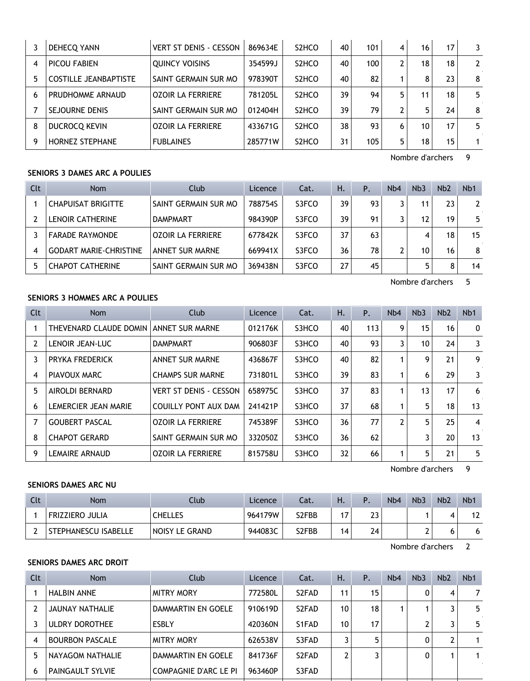|   | DEHECQ YANN                  | <b>VERT ST DENIS - CESSON</b> | 869634E | S <sub>2</sub> HCO | 40 | 101 | 4  | 16 | 17 | 3              |
|---|------------------------------|-------------------------------|---------|--------------------|----|-----|----|----|----|----------------|
| 4 | PICOU FABIEN                 | <b>OUINCY VOISINS</b>         | 354599J | S <sub>2</sub> HCO | 40 | 100 | 2  | 18 | 18 | $\overline{2}$ |
|   | <b>COSTILLE JEANBAPTISTE</b> | SAINT GERMAIN SUR MO          | 978390T | S <sub>2</sub> HCO | 40 | 82  |    | 8  | 23 | 8              |
| h | PRUDHOMME ARNAUD             | <b>OZOIR LA FERRIERE</b>      | 781205L | S <sub>2</sub> HCO | 39 | 94  | 5. | 11 | 18 | 5              |
|   | <b>SEJOURNE DENIS</b>        | SAINT GERMAIN SUR MO          | 012404H | S <sub>2</sub> HCO | 39 | 79  | ∍  | 5  | 24 | 8              |
| 8 | <b>DUCROCO KEVIN</b>         | <b>OZOIR LA FERRIERE</b>      | 433671G | S <sub>2</sub> HCO | 38 | 93  | 6  | 10 | 17 | 5              |
| 9 | <b>HORNEZ STEPHANE</b>       | <b>FUBLAINES</b>              | 285771W | S <sub>2</sub> HCO | 31 | 105 | 5  | 18 | 15 |                |

Nombre d'archers 9

# **SENIORS 3 DAMES ARC A POULIES**

| Clt | <b>Nom</b>                    | Club                     | Licence | Cat.  | Η. | Ρ. | N <sub>b</sub> 4 | Nb <sub>3</sub> | Nb <sub>2</sub> | N <sub>b</sub> 1 |
|-----|-------------------------------|--------------------------|---------|-------|----|----|------------------|-----------------|-----------------|------------------|
|     | <b>CHAPUISAT BRIGITTE</b>     | SAINT GERMAIN SUR MO     | 788754S | S3FCO | 39 | 93 |                  | 11              | 23              |                  |
|     | LENOIR CATHERINE              | <b>DAMPMART</b>          | 984390P | S3FCO | 39 | 91 |                  | 12              | 19              | 5                |
|     | <b>FARADE RAYMONDE</b>        | <b>OZOIR LA FERRIERE</b> | 677842K | S3FCO | 37 | 63 |                  | 4               | 18              | 15               |
| 4   | <b>GODART MARIE-CHRISTINE</b> | ANNET SUR MARNE          | 669941X | S3FCO | 36 | 78 |                  | 10              | 16              | 8                |
| 5   | <b>CHAPOT CATHERINE</b>       | SAINT GERMAIN SUR MO     | 369438N | S3FCO | 27 | 45 |                  |                 | 8               | 14               |

Nombre d'archers 5

# **SENIORS 3 HOMMES ARC A POULIES**

| Clt | <b>Nom</b>             | <b>Club</b>                   | Licence | Cat.  | Η. | Ρ.  | Nb4 | Nb <sub>3</sub> | Nb <sub>2</sub> | N <sub>b</sub> 1 |
|-----|------------------------|-------------------------------|---------|-------|----|-----|-----|-----------------|-----------------|------------------|
|     | THEVENARD CLAUDE DOMIN | <b>ANNET SUR MARNE</b>        | 012176K | S3HCO | 40 | 113 | 9   | 15              | 16              | $\mathbf{0}$     |
| 2   | LENOIR JEAN-LUC        | <b>DAMPMART</b>               | 906803F | S3HCO | 40 | 93  | 3   | 10              | 24              | 3                |
| 3   | PRYKA FREDERICK        | <b>ANNET SUR MARNE</b>        | 436867F | S3HCO | 40 | 82  |     | 9               | 21              | 9                |
| 4   | PIAVOUX MARC           | <b>CHAMPS SUR MARNE</b>       | 731801L | S3HCO | 39 | 83  |     | 6               | 29              | 3                |
| 5   | <b>AIROLDI BERNARD</b> | <b>VERT ST DENIS - CESSON</b> | 658975C | S3HCO | 37 | 83  |     | 13              | 17              | 6                |
| 6   | LEMERCIER JEAN MARIE   | <b>COUILLY PONT AUX DAM</b>   | 241421P | S3HCO | 37 | 68  |     | 5               | 18              | 13               |
|     | <b>GOUBERT PASCAL</b>  | <b>OZOIR LA FERRIERE</b>      | 745389F | S3HCO | 36 | 77  | 2   | 5               | 25              | 4                |
| 8   | <b>CHAPOT GERARD</b>   | SAINT GERMAIN SUR MO          | 332050Z | S3HCO | 36 | 62  |     | 3               | 20              | 13               |
| 9   | <b>LEMAIRE ARNAUD</b>  | <b>OZOIR LA FERRIERE</b>      | 815758U | S3HCO | 32 | 66  |     | 5               | 21              | 5                |

Nombre d'archers 9

# **SENIORS DAMES ARC NU**

| Clt | Nom                    | Club           | <b>Licence</b> | Cat.  | Η.  | D<br>. . | N <sub>b</sub> 4 | Nb <sub>3</sub> | Nb <sub>2</sub> | N <sub>b</sub> 1 |
|-----|------------------------|----------------|----------------|-------|-----|----------|------------------|-----------------|-----------------|------------------|
|     | <b>FRIZZIERO JULIA</b> | CHELLES        | 964179W        | S2FBB | . – | າາ<br>د∠ |                  |                 |                 |                  |
|     | STEPHANESCU ISABELLE   | NOISY LE GRAND | 944083C        | S2FBB | 14  | 74       |                  |                 | ס               |                  |

Nombre d'archers 2

## **SENIORS DAMES ARC DROIT**

| <b>Nom</b>              | Club                         | Licence | Cat.                           | Н.             | Ρ. | N <sub>b</sub> 4 | Nb <sub>3</sub> | Nb <sub>2</sub> | N <sub>b</sub> 1 |
|-------------------------|------------------------------|---------|--------------------------------|----------------|----|------------------|-----------------|-----------------|------------------|
| <b>HALBIN ANNE</b>      | <b>MITRY MORY</b>            | 772580L | S <sub>2</sub> F <sub>AD</sub> | 11             | 15 |                  |                 | 4               | 7                |
| JAUNAY NATHALIE         | DAMMARTIN EN GOELE           | 910619D | S <sub>2</sub> F <sub>AD</sub> | 10             | 18 |                  |                 | 3               | 5                |
| ULDRY DOROTHEE          | <b>ESBLY</b>                 | 420360N | S1FAD                          | 10             | 17 |                  |                 |                 | 5                |
| <b>BOURBON PASCALE</b>  | <b>MITRY MORY</b>            | 626538V | S3FAD                          | 3              |    |                  |                 | 2               |                  |
| NAYAGOM NATHALIE        | DAMMARTIN EN GOELE           | 841736F | S <sub>2</sub> F <sub>AD</sub> | $\overline{2}$ |    |                  |                 |                 |                  |
| <b>PAINGAULT SYLVIE</b> | <b>COMPAGNIE D'ARC LE PI</b> | 963460P | S3FAD                          |                |    |                  |                 |                 |                  |
|                         |                              |         |                                |                |    |                  |                 |                 |                  |